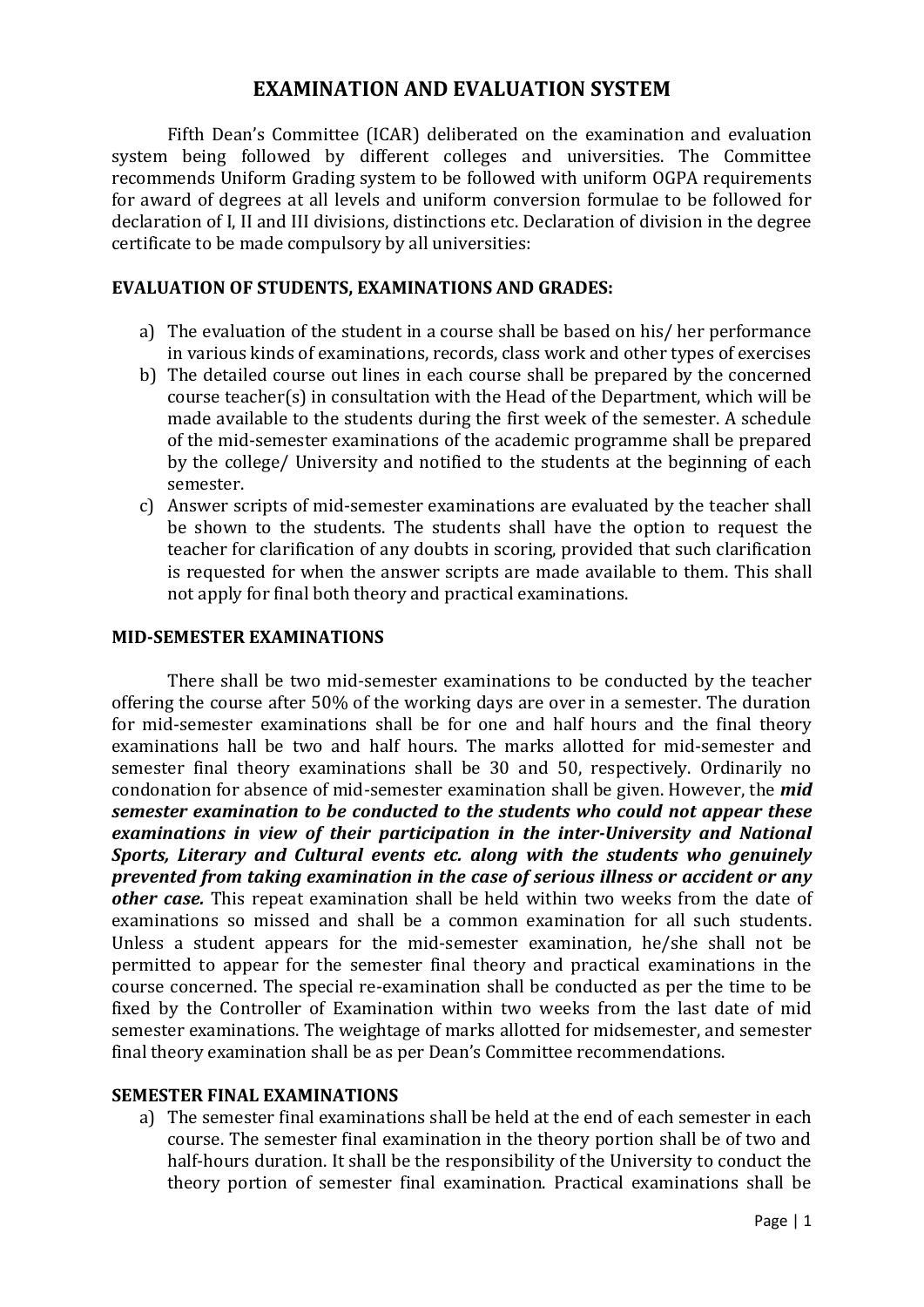# **EXAMINATION AND EVALUATION SYSTEM**

Fifth Dean's Committee (ICAR) deliberated on the examination and evaluation system being followed by different colleges and universities. The Committee recommends Uniform Grading system to be followed with uniform OGPA requirements for award of degrees at all levels and uniform conversion formulae to be followed for declaration of I, II and III divisions, distinctions etc. Declaration of division in the degree certificate to be made compulsory by all universities:

### **EVALUATION OF STUDENTS, EXAMINATIONS AND GRADES:**

- a) The evaluation of the student in a course shall be based on his/ her performance in various kinds of examinations, records, class work and other types of exercises
- b) The detailed course out lines in each course shall be prepared by the concerned course teacher(s) in consultation with the Head of the Department, which will be made available to the students during the first week of the semester. A schedule of the mid-semester examinations of the academic programme shall be prepared by the college/ University and notified to the students at the beginning of each semester.
- c) Answer scripts of mid-semester examinations are evaluated by the teacher shall be shown to the students. The students shall have the option to request the teacher for clarification of any doubts in scoring, provided that such clarification is requested for when the answer scripts are made available to them. This shall not apply for final both theory and practical examinations.

#### **MID-SEMESTER EXAMINATIONS**

There shall be two mid-semester examinations to be conducted by the teacher offering the course after 50% of the working days are over in a semester. The duration for mid-semester examinations shall be for one and half hours and the final theory examinations hall be two and half hours. The marks allotted for mid-semester and semester final theory examinations shall be 30 and 50, respectively. Ordinarily no condonation for absence of mid-semester examination shall be given. However, the *mid semester examination to be conducted to the students who could not appear these examinations in view of their participation in the inter-University and National Sports, Literary and Cultural events etc. along with the students who genuinely prevented from taking examination in the case of serious illness or accident or any other case.* This repeat examination shall be held within two weeks from the date of examinations so missed and shall be a common examination for all such students. Unless a student appears for the mid-semester examination, he/she shall not be permitted to appear for the semester final theory and practical examinations in the course concerned. The special re-examination shall be conducted as per the time to be fixed by the Controller of Examination within two weeks from the last date of mid semester examinations. The weightage of marks allotted for midsemester, and semester final theory examination shall be as per Dean's Committee recommendations.

## **SEMESTER FINAL EXAMINATIONS**

a) The semester final examinations shall be held at the end of each semester in each course. The semester final examination in the theory portion shall be of two and half-hours duration. It shall be the responsibility of the University to conduct the theory portion of semester final examination. Practical examinations shall be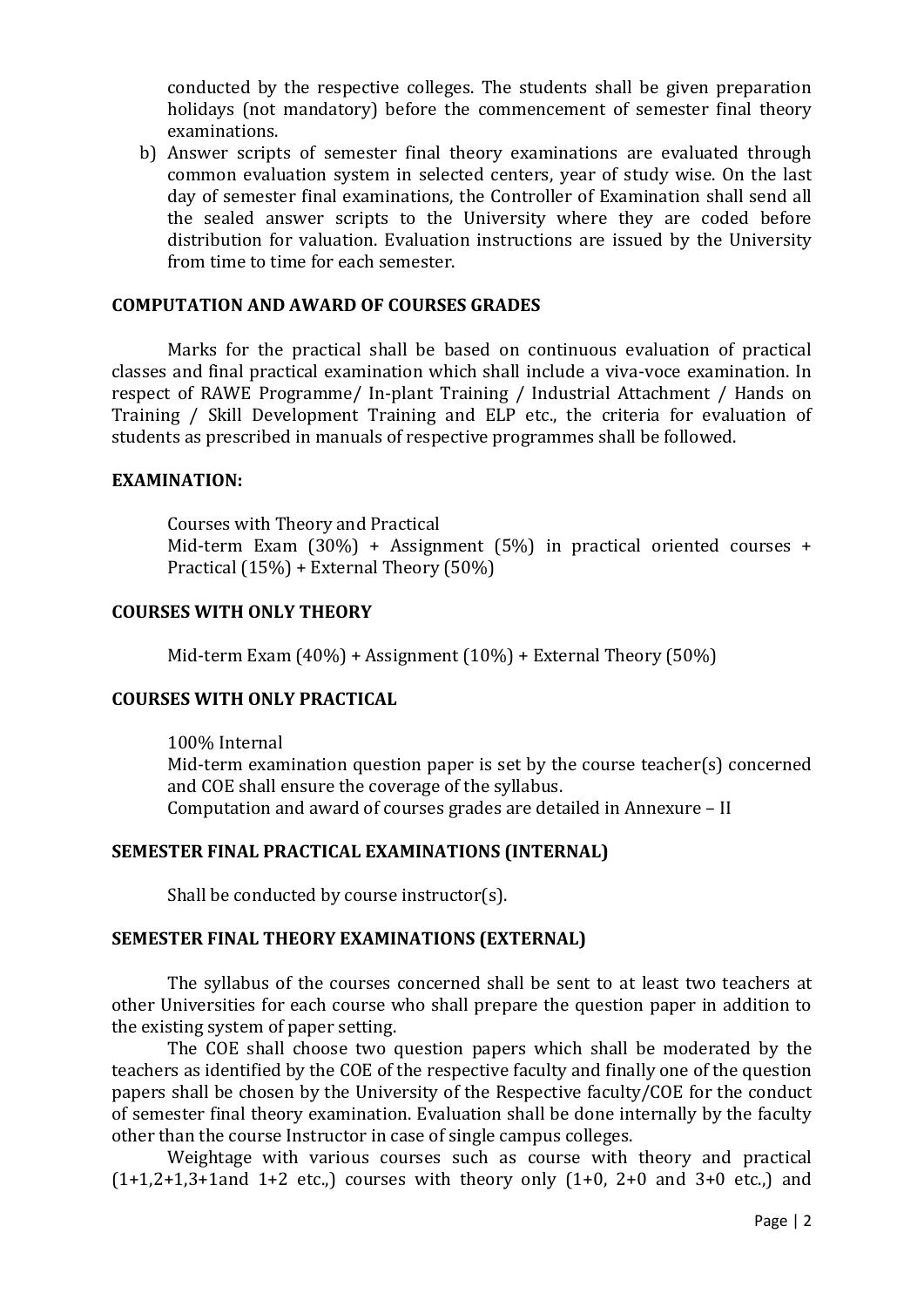conducted by the respective colleges. The students shall be given preparation holidays (not mandatory) before the commencement of semester final theory examinations.

b) Answer scripts of semester final theory examinations are evaluated through common evaluation system in selected centers, year of study wise. On the last day of semester final examinations, the Controller of Examination shall send all the sealed answer scripts to the University where they are coded before distribution for valuation. Evaluation instructions are issued by the University from time to time for each semester.

#### **COMPUTATION AND AWARD OF COURSES GRADES**

Marks for the practical shall be based on continuous evaluation of practical classes and final practical examination which shall include a viva-voce examination. In respect of RAWE Programme/ In-plant Training / Industrial Attachment / Hands on Training / Skill Development Training and ELP etc., the criteria for evaluation of students as prescribed in manuals of respective programmes shall be followed.

#### **EXAMINATION:**

Courses with Theory and Practical Mid-term Exam (30%) + Assignment (5%) in practical oriented courses + Practical (15%) + External Theory (50%)

#### **COURSES WITH ONLY THEORY**

Mid-term Exam (40%) + Assignment (10%) + External Theory (50%)

### **COURSES WITH ONLY PRACTICAL**

100% Internal Mid-term examination question paper is set by the course teacher(s) concerned and COE shall ensure the coverage of the syllabus. Computation and award of courses grades are detailed in Annexure – II

#### **SEMESTER FINAL PRACTICAL EXAMINATIONS (INTERNAL)**

Shall be conducted by course instructor(s).

### **SEMESTER FINAL THEORY EXAMINATIONS (EXTERNAL)**

The syllabus of the courses concerned shall be sent to at least two teachers at other Universities for each course who shall prepare the question paper in addition to the existing system of paper setting.

The COE shall choose two question papers which shall be moderated by the teachers as identified by the COE of the respective faculty and finally one of the question papers shall be chosen by the University of the Respective faculty/COE for the conduct of semester final theory examination. Evaluation shall be done internally by the faculty other than the course Instructor in case of single campus colleges.

Weightage with various courses such as course with theory and practical  $(1+1,2+1,3+1)$ and  $1+2$  etc.) courses with theory only  $(1+0, 2+0)$  and  $3+0$  etc.) and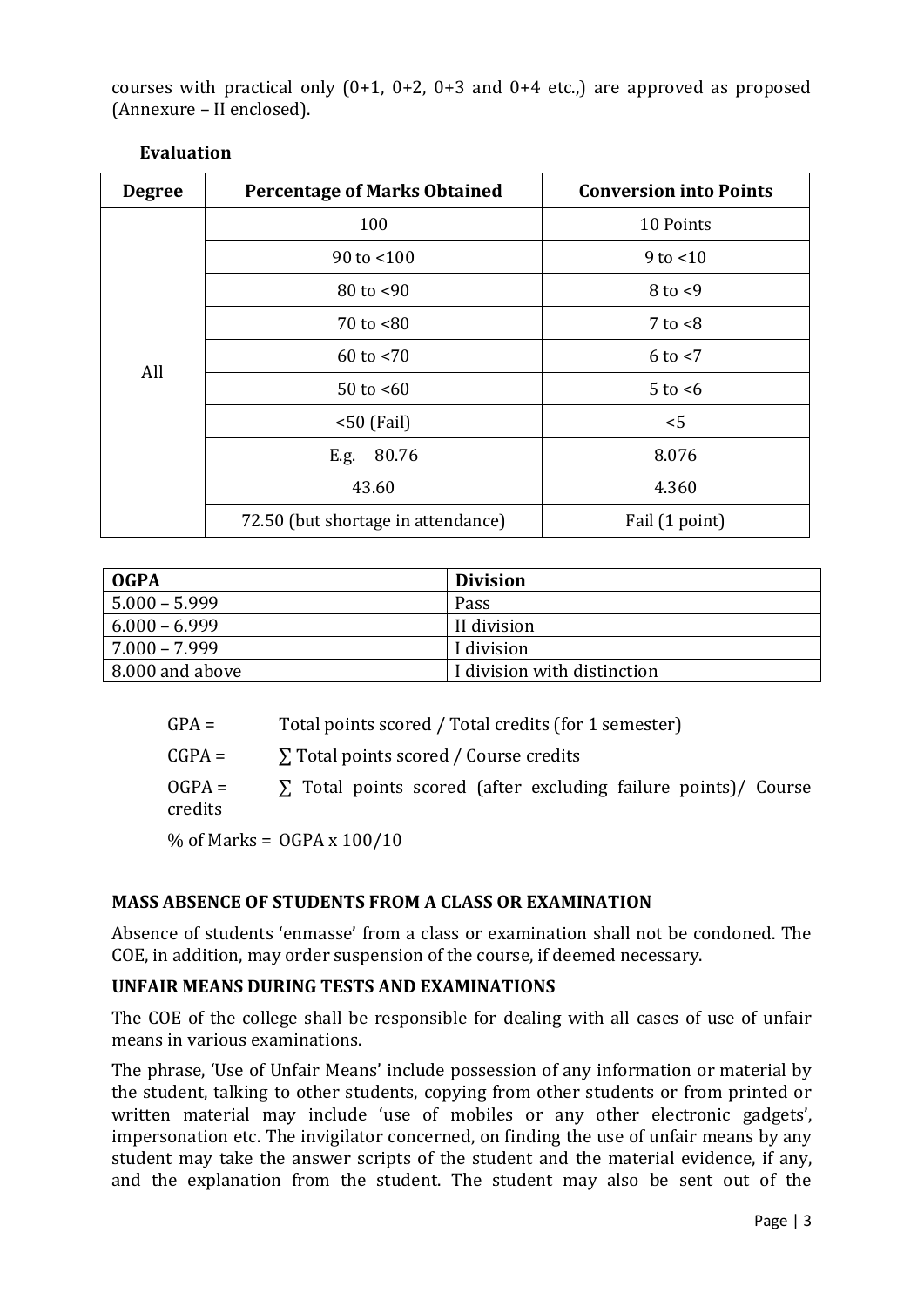courses with practical only  $(0+1, 0+2, 0+3$  and  $0+4$  etc.,) are approved as proposed (Annexure – II enclosed).

| <b>Degree</b> | <b>Percentage of Marks Obtained</b> | <b>Conversion into Points</b> |  |
|---------------|-------------------------------------|-------------------------------|--|
| All           | 100                                 | 10 Points                     |  |
|               | 90 to $< 100$                       | $9$ to $<$ 10                 |  |
|               | $80$ to $< 90$                      | $8$ to $< 9$                  |  |
|               | $70$ to $~80$                       | $7$ to $< 8$                  |  |
|               | $60$ to $< 70$                      | $6$ to $<$ 7                  |  |
|               | 50 to $< 60$                        | $5$ to $<6$                   |  |
|               | $< 50$ (Fail)                       | < 5                           |  |
|               | 80.76<br>E.g.                       | 8.076                         |  |
|               | 43.60                               | 4.360                         |  |
|               | 72.50 (but shortage in attendance)  | Fail (1 point)                |  |

| <b>OGPA</b>     | <b>Division</b>             |
|-----------------|-----------------------------|
| $5.000 - 5.999$ | Pass                        |
| $6.000 - 6.999$ | II division                 |
| $7.000 - 7.999$ | I division                  |
| 8.000 and above | I division with distinction |

| $GPA =$ | Total points scored / Total credits (for 1 semester) |  |
|---------|------------------------------------------------------|--|
|         |                                                      |  |

 $CGPA = \sum Total points scored / Course credits$ 

 $OGPA = \sum$  Total points scored (after excluding failure points)/ Course credits

% of Marks = OGPA x 100/10

# **MASS ABSENCE OF STUDENTS FROM A CLASS OR EXAMINATION**

Absence of students 'enmasse' from a class or examination shall not be condoned. The COE, in addition, may order suspension of the course, if deemed necessary.

## **UNFAIR MEANS DURING TESTS AND EXAMINATIONS**

The COE of the college shall be responsible for dealing with all cases of use of unfair means in various examinations.

The phrase, 'Use of Unfair Means' include possession of any information or material by the student, talking to other students, copying from other students or from printed or written material may include 'use of mobiles or any other electronic gadgets', impersonation etc. The invigilator concerned, on finding the use of unfair means by any student may take the answer scripts of the student and the material evidence, if any, and the explanation from the student. The student may also be sent out of the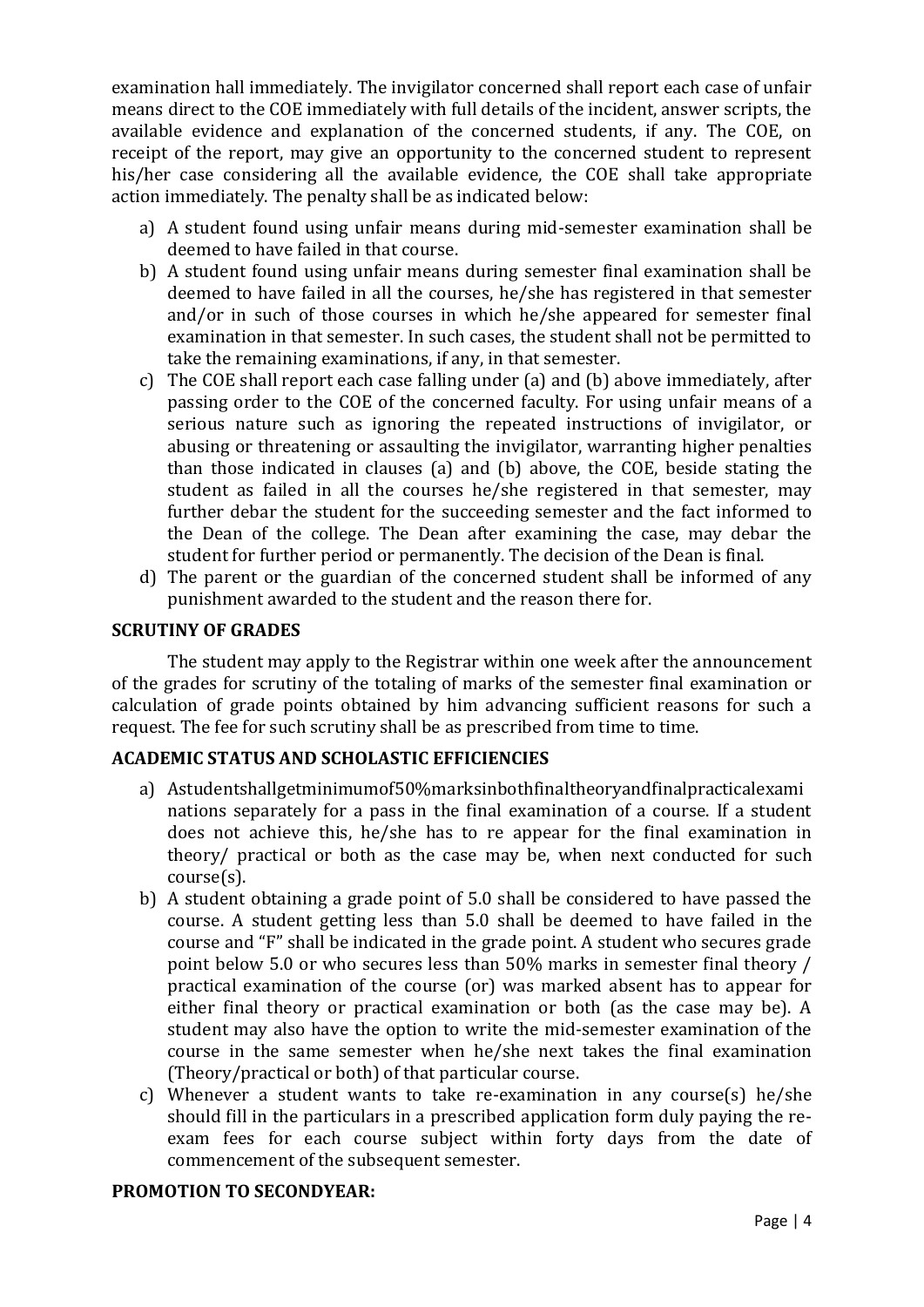examination hall immediately. The invigilator concerned shall report each case of unfair means direct to the COE immediately with full details of the incident, answer scripts, the available evidence and explanation of the concerned students, if any. The COE, on receipt of the report, may give an opportunity to the concerned student to represent his/her case considering all the available evidence, the COE shall take appropriate action immediately. The penalty shall be as indicated below:

- a) A student found using unfair means during mid-semester examination shall be deemed to have failed in that course.
- b) A student found using unfair means during semester final examination shall be deemed to have failed in all the courses, he/she has registered in that semester and/or in such of those courses in which he/she appeared for semester final examination in that semester. In such cases, the student shall not be permitted to take the remaining examinations, if any, in that semester.
- c) The COE shall report each case falling under (a) and (b) above immediately, after passing order to the COE of the concerned faculty. For using unfair means of a serious nature such as ignoring the repeated instructions of invigilator, or abusing or threatening or assaulting the invigilator, warranting higher penalties than those indicated in clauses (a) and (b) above, the COE, beside stating the student as failed in all the courses he/she registered in that semester, may further debar the student for the succeeding semester and the fact informed to the Dean of the college. The Dean after examining the case, may debar the student for further period or permanently. The decision of the Dean is final.
- d) The parent or the guardian of the concerned student shall be informed of any punishment awarded to the student and the reason there for.

### **SCRUTINY OF GRADES**

The student may apply to the Registrar within one week after the announcement of the grades for scrutiny of the totaling of marks of the semester final examination or calculation of grade points obtained by him advancing sufficient reasons for such a request. The fee for such scrutiny shall be as prescribed from time to time.

### **ACADEMIC STATUS AND SCHOLASTIC EFFICIENCIES**

- a) Astudentshallgetminimumof50%marksinbothfinaltheoryandfinalpracticalexami nations separately for a pass in the final examination of a course. If a student does not achieve this, he/she has to re appear for the final examination in theory/ practical or both as the case may be, when next conducted for such course(s).
- b) A student obtaining a grade point of 5.0 shall be considered to have passed the course. A student getting less than 5.0 shall be deemed to have failed in the course and "F" shall be indicated in the grade point. A student who secures grade point below 5.0 or who secures less than 50% marks in semester final theory / practical examination of the course (or) was marked absent has to appear for either final theory or practical examination or both (as the case may be). A student may also have the option to write the mid-semester examination of the course in the same semester when he/she next takes the final examination (Theory/practical or both) of that particular course.
- c) Whenever a student wants to take re-examination in any course(s) he/she should fill in the particulars in a prescribed application form duly paying the reexam fees for each course subject within forty days from the date of commencement of the subsequent semester.

### **PROMOTION TO SECONDYEAR:**